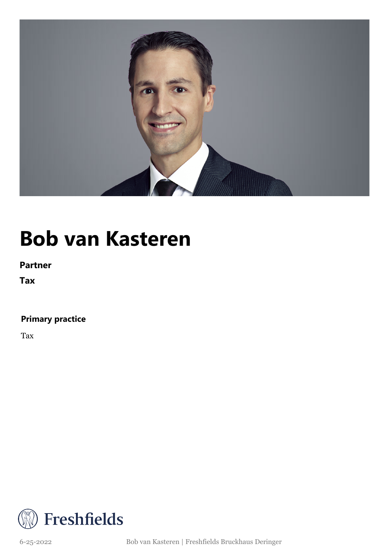

### **Bob van Kasteren**

**Partner**

**Tax**

### **Primary practice**

Tax



6-25-2022 Bob van Kasteren | Freshfields Bruckhaus Deringer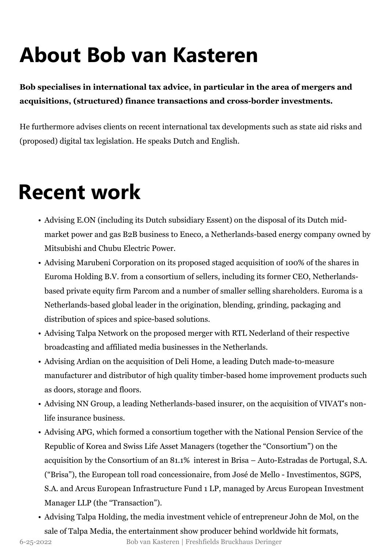# **About Bob van Kasteren**

**Bob specialises in international tax advice, in particular in the area of mergers and acquisitions, (structured) finance transactions and cross-border investments.**

He furthermore advises clients on recent international tax developments such as state aid risks and (proposed) digital tax legislation. He speaks Dutch and English.

### **Recent work**

- Advising E.ON (including its Dutch subsidiary Essent) on the disposal of its Dutch midmarket power and gas B2B business to Eneco, a Netherlands-based energy company owned by Mitsubishi and Chubu Electric Power.
- Advising Marubeni Corporation on its proposed staged acquisition of 100% of the shares in Euroma Holding B.V. from a consortium of sellers, including its former CEO, Netherlandsbased private equity firm Parcom and a number of smaller selling shareholders. Euroma is a Netherlands-based global leader in the origination, blending, grinding, packaging and distribution of spices and spice-based solutions.
- Advising Talpa Network on the proposed merger with RTL Nederland of their respective broadcasting and affiliated media businesses in the Netherlands.
- Advising Ardian on the acquisition of Deli Home, a leading Dutch made-to-measure manufacturer and distributor of high quality timber-based home improvement products such as doors, storage and floors.
- Advising NN Group, a leading Netherlands-based insurer, on the acquisition of VIVAT's nonlife insurance business.
- Advising APG, which formed a consortium together with the National Pension Service of the Republic of Korea and Swiss Life Asset Managers (together the "Consortium") on the acquisition by the Consortium of an 81.1% interest in Brisa – Auto-Estradas de Portugal, S.A. ("Brisa"), the European toll road concessionaire, from José de Mello - Investimentos, SGPS, S.A. and Arcus European Infrastructure Fund 1 LP, managed by Arcus European Investment Manager LLP (the "Transaction").
- Advising Talpa Holding, the media investment vehicle of entrepreneur John de Mol, on the sale of Talpa Media, the entertainment show producer behind worldwide hit formats,

<sup>6-25-2022</sup> Bob van Kasteren | Freshfields Bruckhaus Deringer